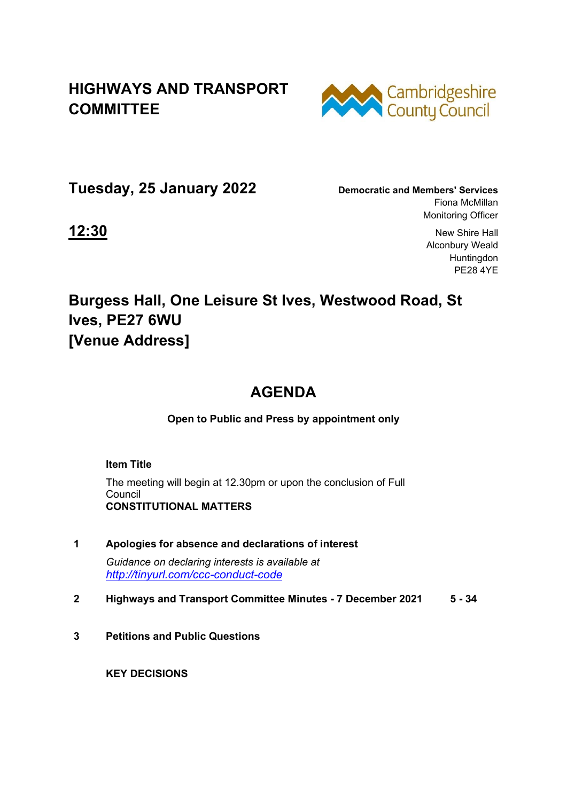## **HIGHWAYS AND TRANSPORT COMMITTEE**



**Tuesday, 25 January 2022 Democratic and Members' Services**

Fiona McMillan Monitoring Officer

**12:30** New Shire Hall Alconbury Weald Huntingdon PE28 4YE

## **Burgess Hall, One Leisure St Ives, Westwood Road, St Ives, PE27 6WU [Venue Address]**

## **AGENDA**

**Open to Public and Press by appointment only** 

 **Item Title** 

The meeting will begin at 12.30pm or upon the conclusion of Full Council  **CONSTITUTIONAL MATTERS** 

- **1 Apologies for absence and declarations of interest**  *Guidance on declaring interests is available at <http://tinyurl.com/ccc-conduct-code>*
- **2 Highways and Transport Committee Minutes 7 December 2021 5 34**
- **3 Petitions and Public Questions**

 **KEY DECISIONS**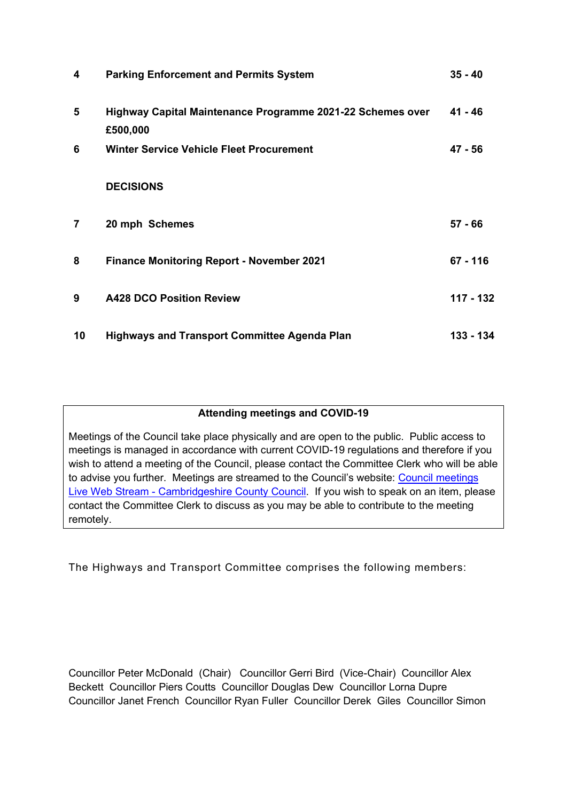| 4              | <b>Parking Enforcement and Permits System</b>                          | $35 - 40$  |
|----------------|------------------------------------------------------------------------|------------|
| $5\phantom{1}$ | Highway Capital Maintenance Programme 2021-22 Schemes over<br>£500,000 | $41 - 46$  |
| 6              | <b>Winter Service Vehicle Fleet Procurement</b>                        | 47 - 56    |
|                | <b>DECISIONS</b>                                                       |            |
| 7              | 20 mph Schemes                                                         | 57 - 66    |
| 8              | <b>Finance Monitoring Report - November 2021</b>                       | $67 - 116$ |
| 9              | <b>A428 DCO Position Review</b>                                        | 117 - 132  |
| 10             | <b>Highways and Transport Committee Agenda Plan</b>                    | 133 - 134  |

## **Attending meetings and COVID-19**

Meetings of the Council take place physically and are open to the public. Public access to meetings is managed in accordance with current COVID-19 regulations and therefore if you wish to attend a meeting of the Council, please contact the Committee Clerk who will be able to advise you further. Meetings are streamed to the Council's website: [Council meetings](https://www.cambridgeshire.gov.uk/council/meetings-and-decisions/council-meetings-live-web-stream)  [Live Web Stream - Cambridgeshire County Council.](https://www.cambridgeshire.gov.uk/council/meetings-and-decisions/council-meetings-live-web-stream) If you wish to speak on an item, please contact the Committee Clerk to discuss as you may be able to contribute to the meeting remotely.

The Highways and Transport Committee comprises the following members:

Councillor Peter McDonald (Chair) Councillor Gerri Bird (Vice-Chair) Councillor Alex Beckett Councillor Piers Coutts Councillor Douglas Dew Councillor Lorna Dupre Councillor Janet French Councillor Ryan Fuller Councillor Derek Giles Councillor Simon